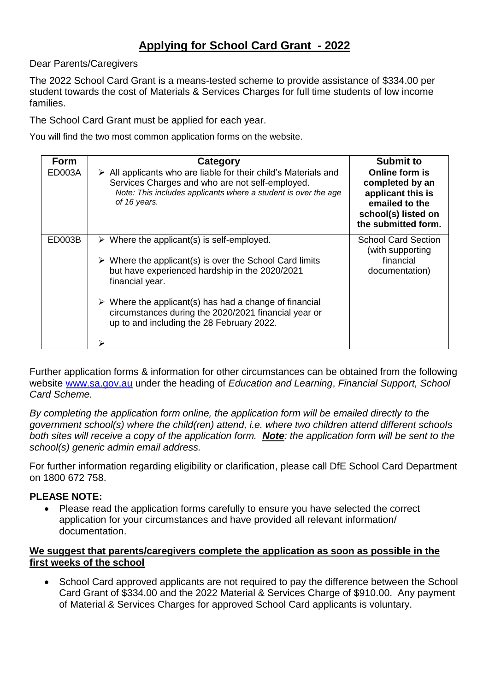### **Applying for School Card Grant - 2022**

#### Dear Parents/Caregivers

The 2022 School Card Grant is a means-tested scheme to provide assistance of \$334.00 per student towards the cost of Materials & Services Charges for full time students of low income families.

The School Card Grant must be applied for each year.

You will find the two most common application forms on the website.

| <b>Form</b>   | Category                                                                                                                                                                                                                                                                                                                                                                                    | <b>Submit to</b>                                                                                                       |
|---------------|---------------------------------------------------------------------------------------------------------------------------------------------------------------------------------------------------------------------------------------------------------------------------------------------------------------------------------------------------------------------------------------------|------------------------------------------------------------------------------------------------------------------------|
| <b>ED003A</b> | $\triangleright$ All applicants who are liable for their child's Materials and<br>Services Charges and who are not self-employed.<br>Note: This includes applicants where a student is over the age<br>of 16 years.                                                                                                                                                                         | Online form is<br>completed by an<br>applicant this is<br>emailed to the<br>school(s) listed on<br>the submitted form. |
| ED003B        | $\triangleright$ Where the applicant(s) is self-employed.<br>$\triangleright$ Where the applicant(s) is over the School Card limits<br>but have experienced hardship in the 2020/2021<br>financial year.<br>$\triangleright$ Where the applicant(s) has had a change of financial<br>circumstances during the 2020/2021 financial year or<br>up to and including the 28 February 2022.<br>↘ | <b>School Card Section</b><br>(with supporting<br>financial<br>documentation)                                          |

Further application forms & information for other circumstances can be obtained from the following website [www.sa.gov.au](http://www.sa.gov.au/) under the heading of *Education and Learning*, *Financial Support, School Card Scheme.*

*By completing the application form online, the application form will be emailed directly to the government school(s) where the child(ren) attend, i.e. where two children attend different schools both sites will receive a copy of the application form. Note: the application form will be sent to the school(s) generic admin email address.*

For further information regarding eligibility or clarification, please call DfE School Card Department on 1800 672 758.

#### **PLEASE NOTE:**

 Please read the application forms carefully to ensure you have selected the correct application for your circumstances and have provided all relevant information/ documentation.

#### **We suggest that parents/caregivers complete the application as soon as possible in the first weeks of the school**

• School Card approved applicants are not required to pay the difference between the School Card Grant of \$334.00 and the 2022 Material & Services Charge of \$910.00. Any payment of Material & Services Charges for approved School Card applicants is voluntary.